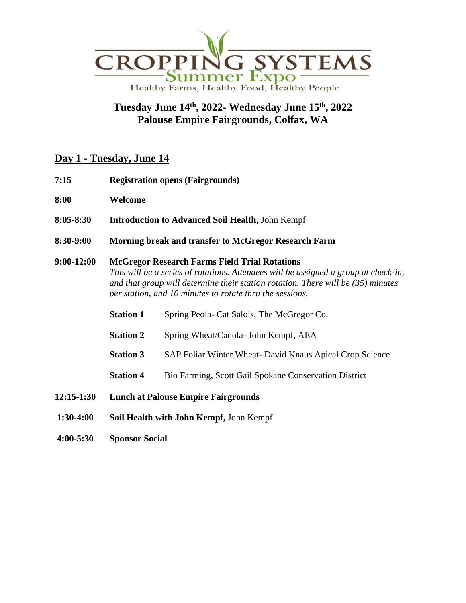

## **Tuesday June 14 th, 2022- Wednesday June 15 th, 2022 Palouse Empire Fairgrounds, Colfax, WA**

## **Day 1 - Tuesday, June 14**

- **7:15 Registration opens (Fairgrounds)**
- **8:00 Welcome**
- **8:05-8:30 Introduction to Advanced Soil Health,** John Kempf
- **8:30-9:00 Morning break and transfer to McGregor Research Farm**

## **9:00-12:00 McGregor Research Farms Field Trial Rotations** *This will be a series of rotations. Attendees will be assigned a group at check-in, and that group will determine their station rotation. There will be (35) minutes per station, and 10 minutes to rotate thru the sessions.*

- **Station 1** Spring Peola- Cat Salois, The McGregor Co.
- **Station 2** Spring Wheat/Canola- John Kempf, AEA
- **Station 3** SAP Foliar Winter Wheat- David Knaus Apical Crop Science
- **Station 4** Bio Farming, Scott Gail Spokane Conservation District
- **12:15-1:30 Lunch at Palouse Empire Fairgrounds**
- **1:30-4:00 Soil Health with John Kempf,** John Kempf
- **4:00-5:30 Sponsor Social**